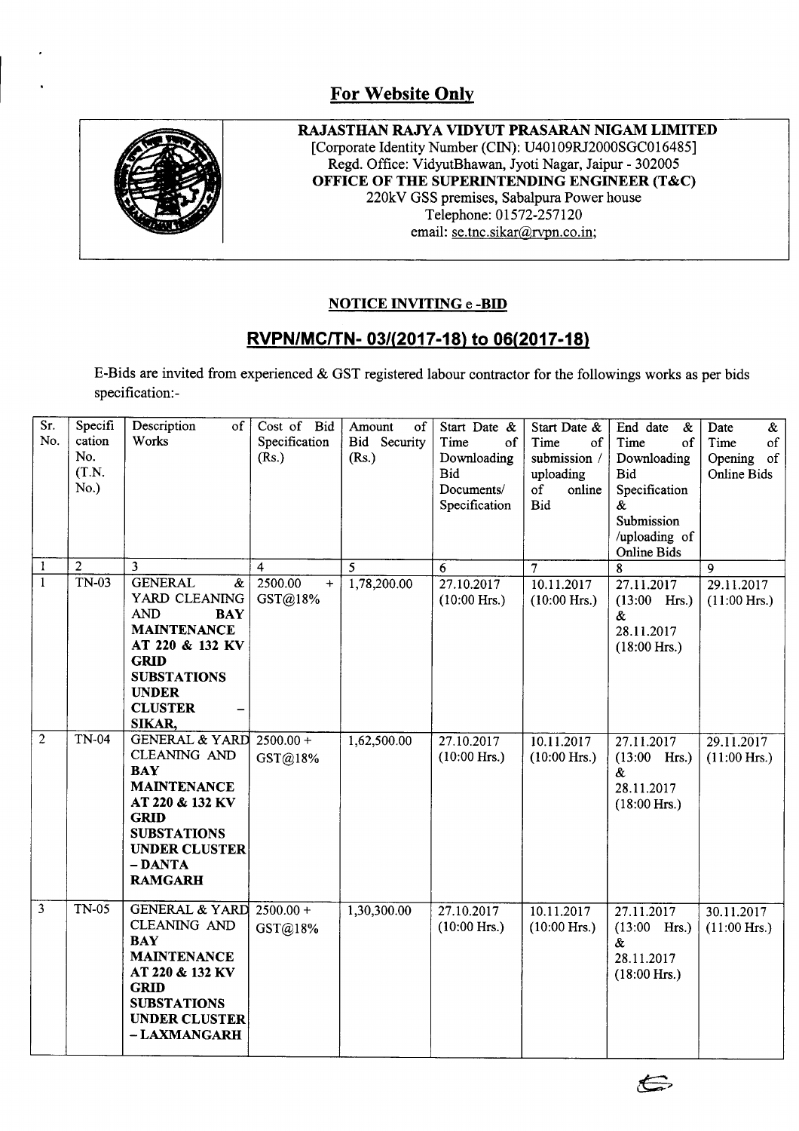## **For Website Only**



**RAJASTHAN RAJY A VIDYUT PRASARAN NIGAM LIMITED** [Corporate Identity Number (CIN): U40109RJ2000SGC016485] Regd. Office: VidyutBhawan, Jyoti Nagar, Jaipur - 302005 **OFFICE OF THE SUPERINTENDING ENGINEER (T&C)** 220kV GSS premises, Sabalpura Power house Telephone: 01572-257120 email: se.tnc.sikar@rvpn.co.in;

## **NOTICE INVITING e -BID**

## **RVPN/MCITN- 031(2017-18) to 06(2017-18)**

E-Bids are invited from experienced & GST registered labour contractor for the followings works as per bids specification: -

| Sr.<br>No.<br>1 | Specifi<br>cation<br>No.<br>(T.N.<br>No.)<br>$\overline{2}$ | Description<br>of<br>Works<br>3                                                                                                                                                                   | Cost of Bid<br>Specification<br>(Rs.)<br>$\overline{\mathbf{4}}$ | Amount<br>of<br>Bid Security<br>(Rs.)<br>5 | Start Date &<br>Time<br>of<br>Downloading<br><b>Bid</b><br>Documents/<br>Specification<br>$\overline{6}$ | Start Date &<br>Time<br>of<br>submission /<br>uploading<br>of<br>online<br>Bid<br>$\overline{7}$ | End date<br>$\&$<br>Time<br>of<br>Downloading<br><b>Bid</b><br>Specification<br>&<br>Submission<br>/uploading of<br><b>Online Bids</b> | Date<br>$\&$<br>$_{\mathrm{of}}$<br>Time<br>Opening<br>of<br>Online Bids |
|-----------------|-------------------------------------------------------------|---------------------------------------------------------------------------------------------------------------------------------------------------------------------------------------------------|------------------------------------------------------------------|--------------------------------------------|----------------------------------------------------------------------------------------------------------|--------------------------------------------------------------------------------------------------|----------------------------------------------------------------------------------------------------------------------------------------|--------------------------------------------------------------------------|
| $\overline{1}$  | TN-03                                                       | <b>GENERAL</b><br>$\&$<br>YARD CLEANING<br><b>AND</b><br><b>BAY</b><br><b>MAINTENANCE</b><br>AT 220 & 132 KV<br><b>GRID</b><br><b>SUBSTATIONS</b><br><b>UNDER</b><br><b>CLUSTER</b><br>SIKAR,     | 2500.00<br>$\ddot{}$<br>GST@18%                                  | 1,78,200.00                                | 27.10.2017<br>$(10:00$ Hrs.)                                                                             | 10.11.2017<br>$(10:00$ Hrs.)                                                                     | 8<br>27.11.2017<br>$(13:00$ Hrs.)<br>&<br>28.11.2017<br>$(18:00$ Hrs.)                                                                 | $\mathbf Q$<br>29.11.2017<br>$(11:00$ Hrs.)                              |
| $\overline{2}$  | <b>TN-04</b>                                                | <b>GENERAL &amp; YARD</b><br><b>CLEANING AND</b><br><b>BAY</b><br><b>MAINTENANCE</b><br>AT 220 & 132 KV<br><b>GRID</b><br><b>SUBSTATIONS</b><br><b>UNDER CLUSTER</b><br>- DANTA<br><b>RAMGARH</b> | $2500.00 +$<br>GST@18%                                           | 1,62,500.00                                | 27.10.2017<br>$(10:00$ Hrs.)                                                                             | 10.11.2017<br>$(10:00$ Hrs.)                                                                     | 27.11.2017<br>$(13:00$ Hrs.)<br>&.<br>28.11.2017<br>$(18:00$ Hrs.)                                                                     | 29.11.2017<br>$(11:00$ Hrs.)                                             |
| $\overline{3}$  | <b>TN-05</b>                                                | <b>GENERAL &amp; YARD 2500.00+</b><br><b>CLEANING AND</b><br><b>BAY</b><br><b>MAINTENANCE</b><br>AT 220 & 132 KV<br><b>GRID</b><br><b>SUBSTATIONS</b><br><b>UNDER CLUSTER</b><br>- LAXMANGARH     | GST@18%                                                          | 1,30,300.00                                | 27.10.2017<br>$(10:00$ Hrs.)                                                                             | 10.11.2017<br>$(10:00$ Hrs.)                                                                     | 27.11.2017<br>$(13:00$ Hrs.)<br>&<br>28.11.2017<br>$(18:00$ Hrs.)                                                                      | 30.11.2017<br>$(11:00$ Hrs.)                                             |

 $\Longleftrightarrow$